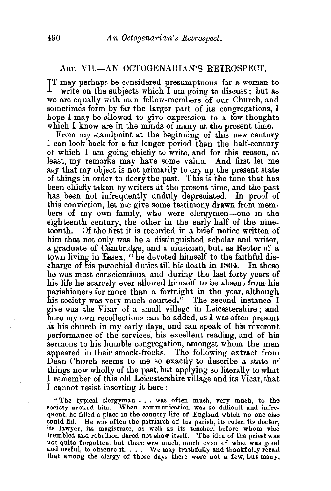## ART. VII.-AN OCTOGENARIAN'S RETROSPECT.

IT may perhaps be considered presumptuous for a woman to write on the subjects which I am going to discuss; but as write on the subjects which I am going to discuss; but as we are equally with men fellow-members of our Church, and sometimes form by far the larger part of its congregations, I hope I may be allowed to give expression to a few thoughts which I know are in the minds of many at the present time.

From my standpoint at the beginning of this new century I can look back for a far longer period than the half-century of which I am going chiefly to write, and for this reason, at least, my remarks may have some value. And first let me say that my object is not primarily to cry up the present state of things in order to decry the past. This is 'the tone that has been chiefly taken by writers at the present time, and the past has been not infrequently unduly depreciated. In proof of this conviction, let me give some testimony drawn from members of my own family, who were clergymen-one in the eighteenth century, the other in the early half of the nineteenth. Of the first it is recorded in a brief notice written of him that not only was he a distinguished scholar and writer, a graduate of Cambridge, and a musician, but, as Rector of a tpwn living in Essex, "he devoted himself to the faithful discharge of his parochial duties till his death in 1804. In these he was most conscientious, and during the last forty years of his life he scarcely ever allowed himself to be absent from his parishioners for more than a fortnight in the year, although his society was very much courted." The second instance I give was the Vicar of a small village in Leicestershire ; and here my own recollections can be added, as I was often present at his church in my early days, and can speak of his reverent performance of the services, his excellent reading, and of his sermons to his humble congregation, amongst whom the men appeared in their smock~frocks. The following extract from Dean Church seems to me so exactly to describe a state of things now wholly of the past, but applying so literally to what I remember of this old Leicestershire village and its Vicar, that I cannot resist inserting it here :

"The typical clergyman . . . was often much, very much, to the society around him. When communication was so difficult and infrequent, he filled a place in the country life of England which no one else could fill. He was often the patriarch of his parish, its ruler, its doctor, its lawyer, its magistrate, as well as its teacher, before whom vice trembled and rebellion dared not show itself. The idea of the priest was<br>not quite forgotten, but there was much, much even of what was good not quite forgotten, but there was much, much even of what was good and useful, to obscure it.  $\dots$ . We may truthfully and thankfully recall that among the clergy of those days there were not a few, but many,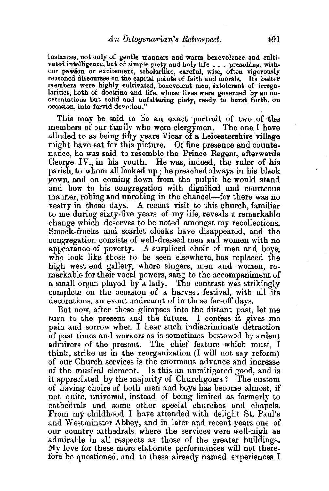instances, not only of gentle manners and warm benevolence and cultivated intelligence, but of simple piety and holy life . . . preaching, without passion or excitement, seholarlike, careful, wise, often vigorously reasoned discourses on the capital points of faith and morals. Its better members were highly cultivated, benevolent men, intolerant of irregu-<br>larities, both of doctrine and life, whose lives were governed by an unostentatious but solid and unfaltering piety, ready to burst forth, on occasion, into fervid devotion."

This may be said to be an exact portrait of two of the embers of our family who were clergymen. The one I have members of our family who were clergymen. alluded to as being fifty years Vicar of a Leicestershire village might have sat for this picture. Of fine presence and countenance, he was said to. resemble the Prince Regent, afterwards George IV., in his youth. He was, indeed, the ruler of his parish, to whom alllooked up; he preached always in his black gown, and on coming down from the pulpit he would stand and bow to his congregation with dignified and courteous manner, robing and unrobing in the chancel—for there was no vestry in those days. A recent visit to this church, familiar to me during sixty-five years of my life, reveals a remarkable change which deserves to be noted amongst my recollections. Smock-frocks and scarlet cloaks have disappeared, and the congregation consists of well-dressed men and women with no appearance of poverty. A surpliced choir of men and boys, who look like those to be seen elsewhere, has replaced the high west-end gallery, where singers, men and women, remarkable for their vocal powers, sang to the accompaniment of a small organ played by a lady. The contrast was strikingly complete on the occasion of a harvest festival, with all its decorations, an event undreamt of in those far-off days.

But now, after these glimpses into the distant past, let me turn to the present and the future. I confess It gives me pain and sorrow when I hear such indiscriminate detraction of past times and workers as is sometimes bestowed by ardent admirers of the present. The chief feature which must, I think, strike us in the reorganization (I will not say reform) of our Church services is the enormous advance and increase of the musical element. Is this an unmitigated good, and is it appreciated by the majority of Churchgoers? The custom of having choirs of both men and boys has become almost, if not quite, universal, instead of being limited as formerly to cathedrals and some other special churches and chapels. From my childhood I have attended with delight St. Paul's and Westminster Abbey, and in later and recent years one of our country cathedrals, where the services were well-nigh as admirable in all respects as those of the greater buildings. My love for these more elaborate performances will not therefore be questioned, and to these already named experiences I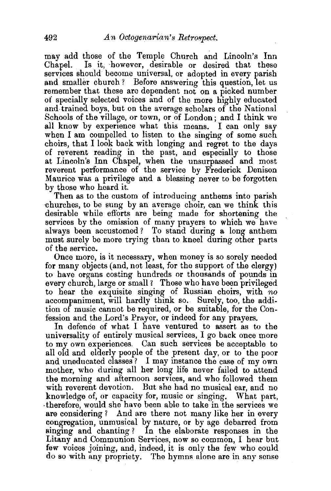may add those of the Temple Church and Lincoln's Inn Chapel. Is it, however, desirable or desired that these services should become universal, or adopted in every parish and smaller church? Before answering this question, let us remember that these are dependent not on a picked number of specially selected voices and of the more highly educated and trained boys. but on the average scholars of the National Schools of the village, or town, or of London; and I think we all know by experience what this means. I can only say when I am compelled to listen to the singing of some such choirs, that I look back with longing and regret to the days of reverent reading in the past, and especially to those at Lincoln's Inn Chapel, when the unsurpassed and most reverent performance of the service by Frederick Denison Maurice was a privilege and a blessing never to be forgotten by those who heard it.

Then as to the custom of introducing anthems into parish churches, to be sung by an average choir, can we think this desirable while eftorts are being made for shortening the services by the omission of many prayers to which we have always been accustomed? To stand during a long anthem must surely be more trying than to kneel during other parts of the service.

Once more, is it necessary, when money is so sorely needed for many objects (and, not least, for the support of the clergy) to have organs costing hundreds or thousands of pounds in every church, large or small? Those who have been privileged to hear the exquisite singing of Russian choirs, with *no*  accompaniment, will hardly think so. Surely, too, the addition of music cannot be required, or be suitable, for the Confession and the.Lord's Prayer, or indeed for any prayers.

In defence of what I have ventured to assert as to the universality of entirely musical services, I go back once more to my own experiences. Can such services be acceptable to all old and elderly people of the present day, or to the poor and uneducated classes? I may instance the case of my own mother, who during all her long life never failed to attend the morning and afternoon services, and who followed them with reverent devotion. But she had no musical ear, and no knowledge of, or capacity for, music or singing. What part, ·therefore, would she have been able to take in the services we are considering ? And are there not many like her in every congregation, unmusical by nature, or by age debarred from singing and chanting ? In the elaborate responses in the Litany and Communion Services, now so common, I hear but few voices joining, and, indeed, it is only the few who could do so with any propriety. The hymns alone are in any sense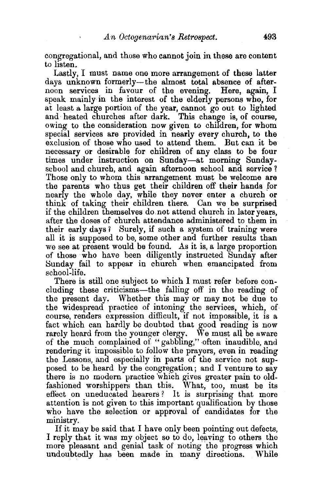congregational, and those who cannot join in these are content to listen.

Lastly, I must name one more arrangement of these latter days unknown formerly-the almost total absence of afternoon services in favour of the evening. Here, again, I speak mainly in the interest of the elderly persons who, for at least a large portion of the year, cannot go out to lighted and· heated churches after dark. This change is, of course, owing to the consideration now given to children, for whom special services are provided in nearly every church, to the exclusion of those who used to attend them. But can it be necessary or desirable for children of any class to be four times under instruction on Sunday-at morning Sundayschool and church, and again afternoon school and service ? Those only to whom this arrangement must be welcome are the parents who thus get their children off their hands for nearly the whole day, while they never enter a church or think. of taking their children there. Can we be surprised if the children themselves do.not attend church in later years, after the doses of church attendance administered to them in their early days? Surely, if such a system of training were all it is supposed to be, some other and further results than we see at present would be found. As it is, a large proportion of those who have been diligently instructed Sunday after Sunday fail to appear in church when emancipated from school-life.

There is still one subject to which I must refer before concluding these criticisms-the falling off in the reading of the present day. Whether this may or may not be due to the widespread practice of intoning the services, which, of course, renders expression difficult, if not impossible, it is a fact which can hardly be doubted that good reading is now rarely heard from the younger clergy. We must all be aware of the much complained of "gabbling," often inaudible, and rendering it impossible to follow the prayers, even in reading the Lessons, and especially in parts of the service not supposed to be heard by the congregation ; and I venture to say there is no modern practice 'which gives greater pain to oldfashioned worshippers than this. What, too, must be its effect on uneducated hearers? It is surprising that more attention is not given to this important qualification by those who have the selection or approval of candidates for the ministry.

If it may be said that I have only been pointing out defects, I reply that it was my object so to do, leaving to others the more pleasant and genial task of noting the progress which<br>undoubtedly has been made in many directions. While undoubtedly has been made in many directions.